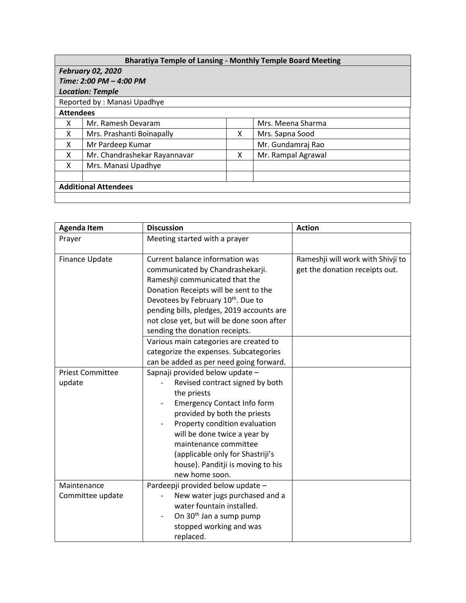|                  |                              |   | <b>Bharatiya Temple of Lansing - Monthly Temple Board Meeting</b> |
|------------------|------------------------------|---|-------------------------------------------------------------------|
|                  | <b>February 02, 2020</b>     |   |                                                                   |
|                  | Time: 2:00 PM - 4:00 PM      |   |                                                                   |
|                  | <b>Location: Temple</b>      |   |                                                                   |
|                  | Reported by: Manasi Upadhye  |   |                                                                   |
| <b>Attendees</b> |                              |   |                                                                   |
| X                | Mr. Ramesh Devaram           |   | Mrs. Meena Sharma                                                 |
| X                | Mrs. Prashanti Boinapally    | X | Mrs. Sapna Sood                                                   |
| X                | Mr Pardeep Kumar             |   | Mr. Gundamraj Rao                                                 |
| X                | Mr. Chandrashekar Rayannavar | X | Mr. Rampal Agrawal                                                |
| X                | Mrs. Manasi Upadhye          |   |                                                                   |
|                  |                              |   |                                                                   |
|                  | <b>Additional Attendees</b>  |   |                                                                   |
|                  |                              |   |                                                                   |

| <b>Agenda Item</b>      | <b>Discussion</b>                              | <b>Action</b>                     |
|-------------------------|------------------------------------------------|-----------------------------------|
| Prayer                  | Meeting started with a prayer                  |                                   |
|                         |                                                |                                   |
| Finance Update          | Current balance information was                | Rameshji will work with Shivji to |
|                         | communicated by Chandrashekarji.               | get the donation receipts out.    |
|                         | Rameshji communicated that the                 |                                   |
|                         | Donation Receipts will be sent to the          |                                   |
|                         | Devotees by February 10 <sup>th</sup> . Due to |                                   |
|                         | pending bills, pledges, 2019 accounts are      |                                   |
|                         | not close yet, but will be done soon after     |                                   |
|                         | sending the donation receipts.                 |                                   |
|                         | Various main categories are created to         |                                   |
|                         | categorize the expenses. Subcategories         |                                   |
|                         | can be added as per need going forward.        |                                   |
| <b>Priest Committee</b> | Sapnaji provided below update -                |                                   |
| update                  | Revised contract signed by both                |                                   |
|                         | the priests                                    |                                   |
|                         | <b>Emergency Contact Info form</b>             |                                   |
|                         | provided by both the priests                   |                                   |
|                         | Property condition evaluation                  |                                   |
|                         | will be done twice a year by                   |                                   |
|                         | maintenance committee                          |                                   |
|                         | (applicable only for Shastriji's               |                                   |
|                         | house). Panditji is moving to his              |                                   |
|                         | new home soon.                                 |                                   |
| Maintenance             | Pardeepji provided below update -              |                                   |
| Committee update        | New water jugs purchased and a                 |                                   |
|                         | water fountain installed.                      |                                   |
|                         | On 30 <sup>th</sup> Jan a sump pump            |                                   |
|                         | stopped working and was                        |                                   |
|                         | replaced.                                      |                                   |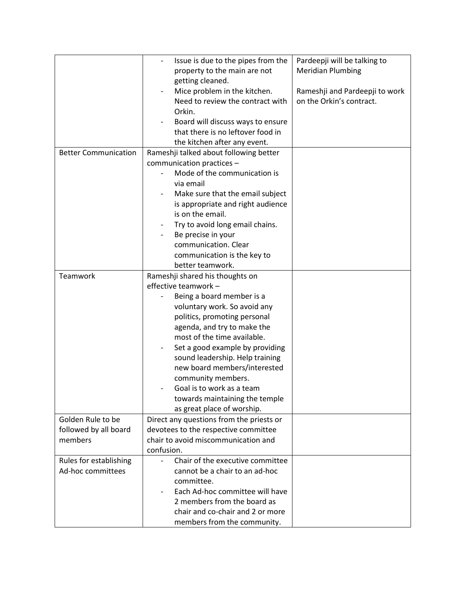|                             | Issue is due to the pipes from the       | Pardeepji will be talking to   |
|-----------------------------|------------------------------------------|--------------------------------|
|                             | property to the main are not             | <b>Meridian Plumbing</b>       |
|                             | getting cleaned.                         |                                |
|                             | Mice problem in the kitchen.             | Rameshji and Pardeepji to work |
|                             | Need to review the contract with         | on the Orkin's contract.       |
|                             | Orkin.                                   |                                |
|                             | Board will discuss ways to ensure        |                                |
|                             | that there is no leftover food in        |                                |
|                             | the kitchen after any event.             |                                |
| <b>Better Communication</b> | Rameshji talked about following better   |                                |
|                             | communication practices -                |                                |
|                             | Mode of the communication is             |                                |
|                             | via email                                |                                |
|                             | Make sure that the email subject         |                                |
|                             | is appropriate and right audience        |                                |
|                             | is on the email.                         |                                |
|                             | Try to avoid long email chains.          |                                |
|                             | Be precise in your                       |                                |
|                             | communication. Clear                     |                                |
|                             | communication is the key to              |                                |
|                             | better teamwork.                         |                                |
| Teamwork                    | Rameshji shared his thoughts on          |                                |
|                             | effective teamwork -                     |                                |
|                             | Being a board member is a                |                                |
|                             | voluntary work. So avoid any             |                                |
|                             | politics, promoting personal             |                                |
|                             | agenda, and try to make the              |                                |
|                             | most of the time available.              |                                |
|                             | Set a good example by providing          |                                |
|                             | sound leadership. Help training          |                                |
|                             | new board members/interested             |                                |
|                             | community members.                       |                                |
|                             | Goal is to work as a team                |                                |
|                             | towards maintaining the temple           |                                |
|                             | as great place of worship.               |                                |
| Golden Rule to be           | Direct any questions from the priests or |                                |
| followed by all board       | devotees to the respective committee     |                                |
| members                     | chair to avoid miscommunication and      |                                |
|                             | confusion.                               |                                |
| Rules for establishing      | Chair of the executive committee         |                                |
| Ad-hoc committees           | cannot be a chair to an ad-hoc           |                                |
|                             | committee.                               |                                |
|                             | Each Ad-hoc committee will have          |                                |
|                             | 2 members from the board as              |                                |
|                             | chair and co-chair and 2 or more         |                                |
|                             | members from the community.              |                                |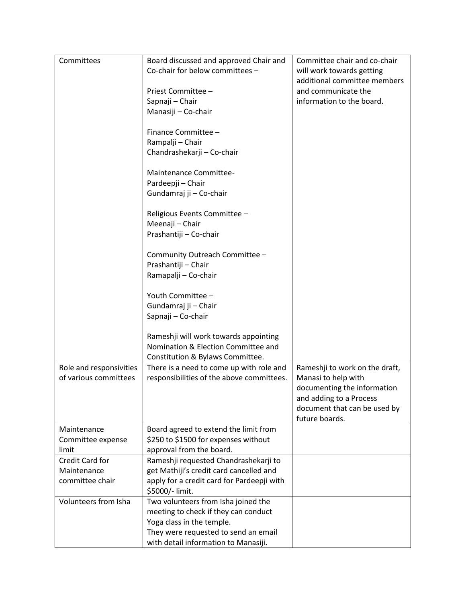| Committees              | Board discussed and approved Chair and     | Committee chair and co-chair                   |
|-------------------------|--------------------------------------------|------------------------------------------------|
|                         | Co-chair for below committees -            | will work towards getting                      |
|                         |                                            | additional committee members                   |
|                         | Priest Committee -                         | and communicate the                            |
|                         | Sapnaji - Chair                            | information to the board.                      |
|                         | Manasiji - Co-chair                        |                                                |
|                         |                                            |                                                |
|                         | Finance Committee -                        |                                                |
|                         | Rampalji - Chair                           |                                                |
|                         | Chandrashekarji - Co-chair                 |                                                |
|                         |                                            |                                                |
|                         | <b>Maintenance Committee-</b>              |                                                |
|                         | Pardeepji - Chair                          |                                                |
|                         | Gundamraj ji - Co-chair                    |                                                |
|                         |                                            |                                                |
|                         | Religious Events Committee -               |                                                |
|                         | Meenaji - Chair                            |                                                |
|                         | Prashantiji - Co-chair                     |                                                |
|                         |                                            |                                                |
|                         | Community Outreach Committee -             |                                                |
|                         | Prashantiji - Chair                        |                                                |
|                         | Ramapalji - Co-chair                       |                                                |
|                         |                                            |                                                |
|                         | Youth Committee -                          |                                                |
|                         | Gundamraj ji - Chair                       |                                                |
|                         | Sapnaji - Co-chair                         |                                                |
|                         |                                            |                                                |
|                         | Rameshji will work towards appointing      |                                                |
|                         | Nomination & Election Committee and        |                                                |
|                         | Constitution & Bylaws Committee.           |                                                |
| Role and responsivities | There is a need to come up with role and   | Rameshji to work on the draft,                 |
| of various committees   | responsibilities of the above committees.  | Manasi to help with                            |
|                         |                                            | documenting the information                    |
|                         |                                            | and adding to a Process                        |
|                         |                                            | document that can be used by<br>future boards. |
| Maintenance             | Board agreed to extend the limit from      |                                                |
| Committee expense       | \$250 to \$1500 for expenses without       |                                                |
| limit                   | approval from the board.                   |                                                |
| Credit Card for         | Rameshji requested Chandrashekarji to      |                                                |
| Maintenance             | get Mathiji's credit card cancelled and    |                                                |
| committee chair         | apply for a credit card for Pardeepji with |                                                |
|                         | \$5000/- limit.                            |                                                |
| Volunteers from Isha    | Two volunteers from Isha joined the        |                                                |
|                         | meeting to check if they can conduct       |                                                |
|                         | Yoga class in the temple.                  |                                                |
|                         | They were requested to send an email       |                                                |
|                         | with detail information to Manasiji.       |                                                |